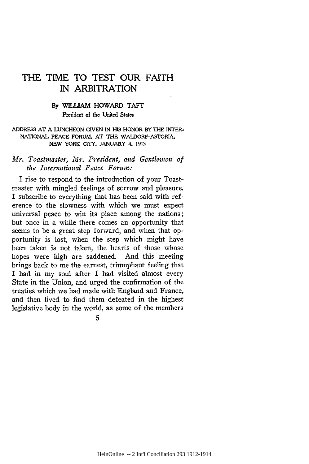# THE TIME TO **TEST** OUR FAITH IN ARBITRATION

# **By** WILLIAM HOWARD TAFT **President of the United States**

#### ADDRESS **AT A LUNCHEON GIVEN IN HIS** HONOR BY THE INTER-**NATIONAL PEACE FORUM, AT THE** WALDORF-ASTORIA, **NEW YORK CIY, JANUARY 4. 1913**

## *Mr. Toastmaster, Mr. President, and Gentlemen of the International Peace Forum:*

I rise to respond to the introduction of your Toastmaster with mingled feelings of sorrow and pleasure. I subscribe to everything that has been said with reference to the slowness with which we must expect universal peace to win its place among the nations; but once in a while there comes an opportunity that seems to be a great step forward, and when that opportunity is lost, when the step which might have been taken is not taken, the hearts of those whose hopes were high are saddened. And this meeting brings back to me the earnest, triumphant feeling that I had in my soul after I had visited almost every State in the Union, and urged the confirmation of the treaties which we had made with England and France, and then lived to find them defeated in the highest legislative body in the world, as some of the members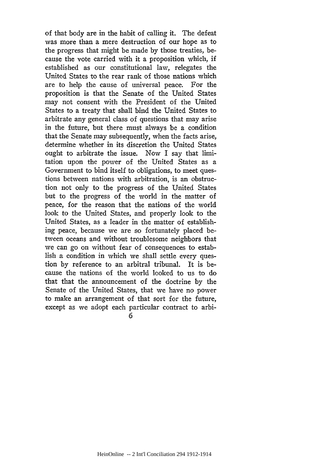of that body are in the habit of calling it. The defeat was more than a mere destruction of our hope as to the progress that might be made by those treaties, because the vote carried with it a proposition which, if established as our constitutional law, relegates the United States to the rear rank of those nations which are to help the cause of universal peace. For the proposition is that the Senate of the United States may not consent with the President of the United States to a treaty that shall bind the United States to arbitrate any general class of questions that may arise in the future, but there must always be a condition that the Senate may subsequently, when the facts arise, determine whether in its discretion the United States ought to arbitrate the issue. Now I say that limitation upon the power of the United States as a Government to bind itself to obligations, to meet questions between nations with arbitration, is an obstruction not only to the progress of the United States but to the progress of the world in the matter of peace, for the reason that the nations of the world look to the United States, and properly look to the United States, as a leader in the matter of establishing peace, because we are so fortunately placed between oceans and without troublesome neighbors that we can go on without fear of consequences to establish a condition in which we shall settle every question by reference to an arbitral tribunal. It is because the nations of the world looked to us to do that that the announcement of the doctrine by the Senate of the United States, that we have no power to make an arrangement of that sort for the future, except as we adopt each particular contract to arbi-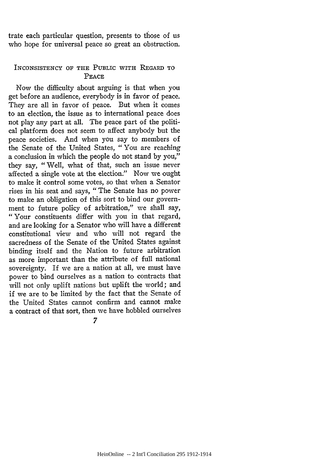trate each particular question, presents to those of us who hope for universal peace so great an obstruction.

## INCONSISTENCY OF **THE** PUBLIC **WITH REGARD TO PEACE**

Now the difficulty about arguing is that when you get before an audience, everybody is in favor of peace. They are all in favor of peace. But when it comes to an election, the issue as to international peace does not play any part at all. The peace part of the political platform does not seem to affect anybody but the peace societies. And when you say to members of the Senate of the United States, "You are reaching a conclusion in which the people do not stand **by** you," they say, "Well, what of that, such an issue never affected a single vote at the election." Now we ought to make it control some votes, so that when a Senator rises in his seat and says, "The Senate has no power to make an obligation of this sort to bind our government to future policy of arbitration," we shall say, "Your constituents differ with you in that regard, and are looking for a Senator who will have a different constitutional view and who will not regard the sacredness of the Senate of the United States against binding itself and the Nation to future arbitration as more important than the attribute of full national sovereignty. If we are a nation at all, we must have power to bind ourselves as a nation to contracts that will not only uplift nations but uplift the world; and if we are to be limited **by** the fact that the Senate of the United States cannot confirm and cannot make a contract of that sort, then we have hobbled ourselves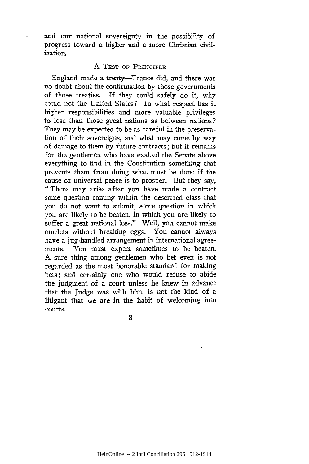and our national sovereignty in the possibility of progress toward a higher and a more Christian civilization.

#### A TEST OF PRINCIPLE

England made a treaty-France did, and there was no doubt about the confirmation by those governments of those treaties. If they could safely do it, why could not the United States? In what respect has it higher responsibilities and more valuable privileges to lose than those great nations as between nations? They may be expected to be as careful in the preservation of their sovereigns, and what may come by way of damage to them by future contracts; but it remains for the gentlemen who have exalted the Senate above everything to find in the Constitution something that prevents them from doing what must be done if the cause of universal peace is to prosper. But they say, "There may arise after you have made a contract some question coming within the described class that you do not want to submit, some question in which you are likely to be beaten, in which you are likely to suffer a great national loss." Well, you cannot make omelets without breaking eggs. You cannot always have a jug-handled arrangement in international agreements. You must expect sometimes to be beaten. A sure thing among gentlemen who bet even is not regarded as the most honorable standard for making bets; and certainly one who would refuse to abide the judgment of a court unless he knew in advance that the Judge was with him, is not the kind of a litigant that we are in the habit of welcoming into courts.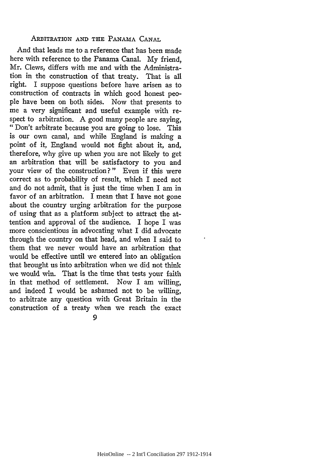### ARBITRATION AND THE PANAMA CANAL

And that leads me to a reference that has been made here with reference to the Panama Canal. My friend, Mr. Clews, differs with me and with the Administration in the construction of that treaty. That is all right. I suppose questions before have arisen as to construction of contracts in which good honest people have been on both sides. Now that presents to me a very significant and useful example with respect to arbitration. A good many people are saying, "Don't arbitrate because you are going to lose. This is our own canal, and while England is making a point of it, England would not fight about it, and, therefore, why give up when you are not likely to get an arbitration that will be satisfactory to you and your view of the construction?" Even if this were correct as to probability of result, which I need not and do not admit, that is just the time when I am in favor of an arbitration. I mean that I have not gone about the country urging arbitration for the purpose of using that as a platform subject to attract the attention and approval of the audience. I hope I was more conscientious in advocating what I did advocate through the country on that head, and when I said to them that we never would have an arbitration that would be effective until we entered into an obligation that brought us into arbitration when we did not think we would win. That is the time that tests your faith in that method of settlement. Now I am willing, and indeed I would be ashamed not to be willing, to arbitrate any question with Great Britain in the construction of a treaty when we reach the exact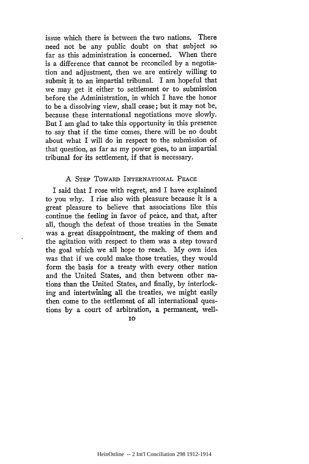issue which there is between the two nations. There need not be any public doubt on that subject so far as this administration is concerned. When there is a difference that cannot be reconciled by a negotiation and adjustment, then we are entirely willing to submit it to an impartial tribunal. I am hopeful that we may get it either to settlement or to submission before the Administration, in which I have the honor to be a dissolving view, shall cease; but it may not be, because these international negotiations move slowly. But I am glad to take this opportunity in this presence to say that if the time comes, there will be no doubt about what I will do in respect to the submission of that question, as far as my power goes, to an impartial tribunal for its settlement, if that is necessary.

## A STEP TOWARD INTERNATIONAL PEACE

I said that I rose with regret, and I have explained to you why. I rise also with pleasure because it is a great pleasure to believe that associations like this continue the feeling in favor of peace, and that, after all, though the defeat of those treaties in the Senate was a great disappointment, the making of them and the agitation with respect to them was a step toward the goal which we all hope to reach. My own idea was that if we could make those treaties, they would form the basis for a treaty with every other nation and the United States, and then between other nations than the United States, and finally, by interlocking and intertwining all the treaties, we might easily then come to the settlement of all international questions by a court of arbitration, a permanent, well-

IO